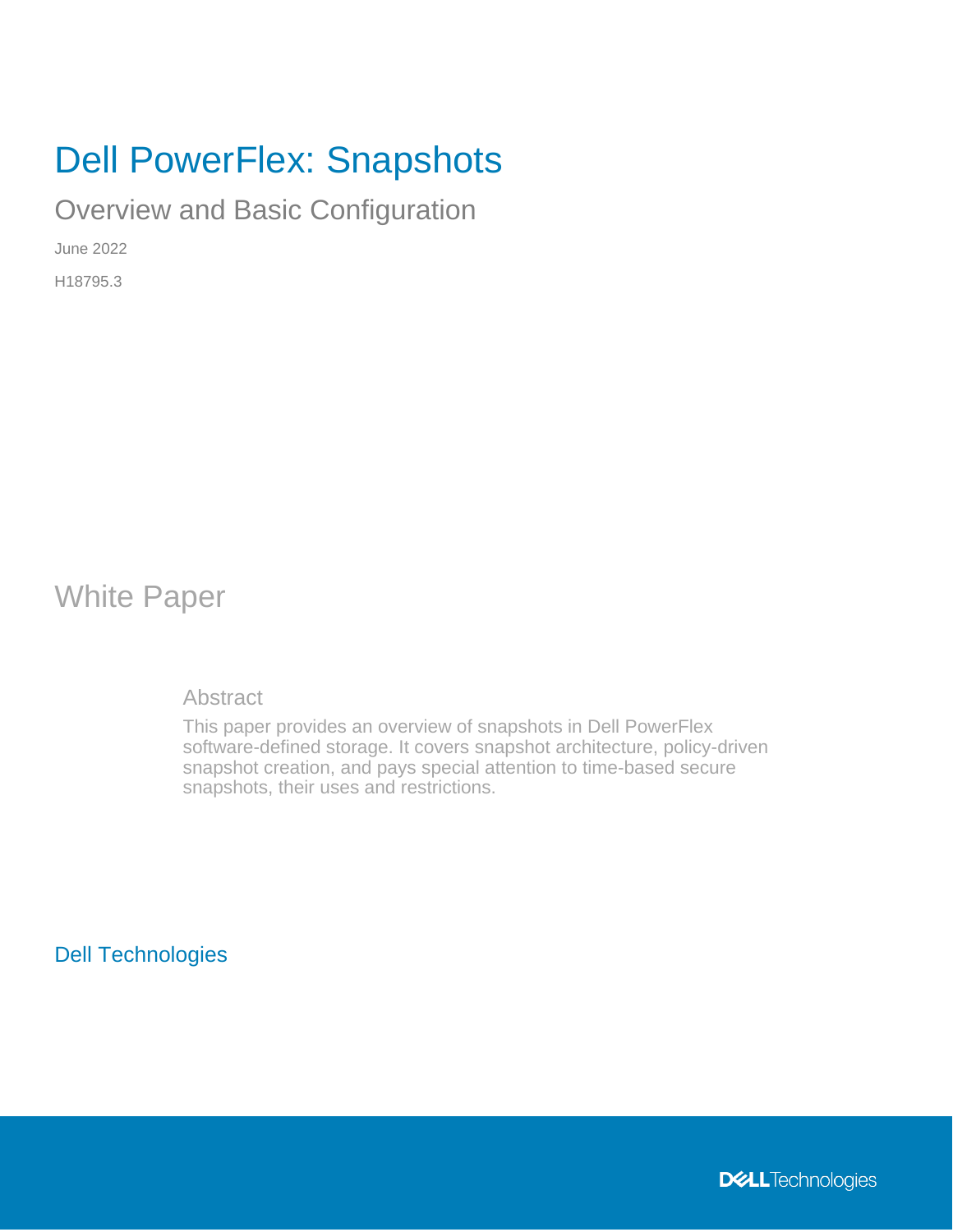# Dell PowerFlex: Snapshots

Overview and Basic Configuration

June 2022

H18795.3

White Paper

**Abstract** 

This paper provides an overview of snapshots in Dell PowerFlex software-defined storage. It covers snapshot architecture, policy-driven snapshot creation, and pays special attention to time-based secure snapshots, their uses and restrictions.

Dell Technologies

**DELL**Technologies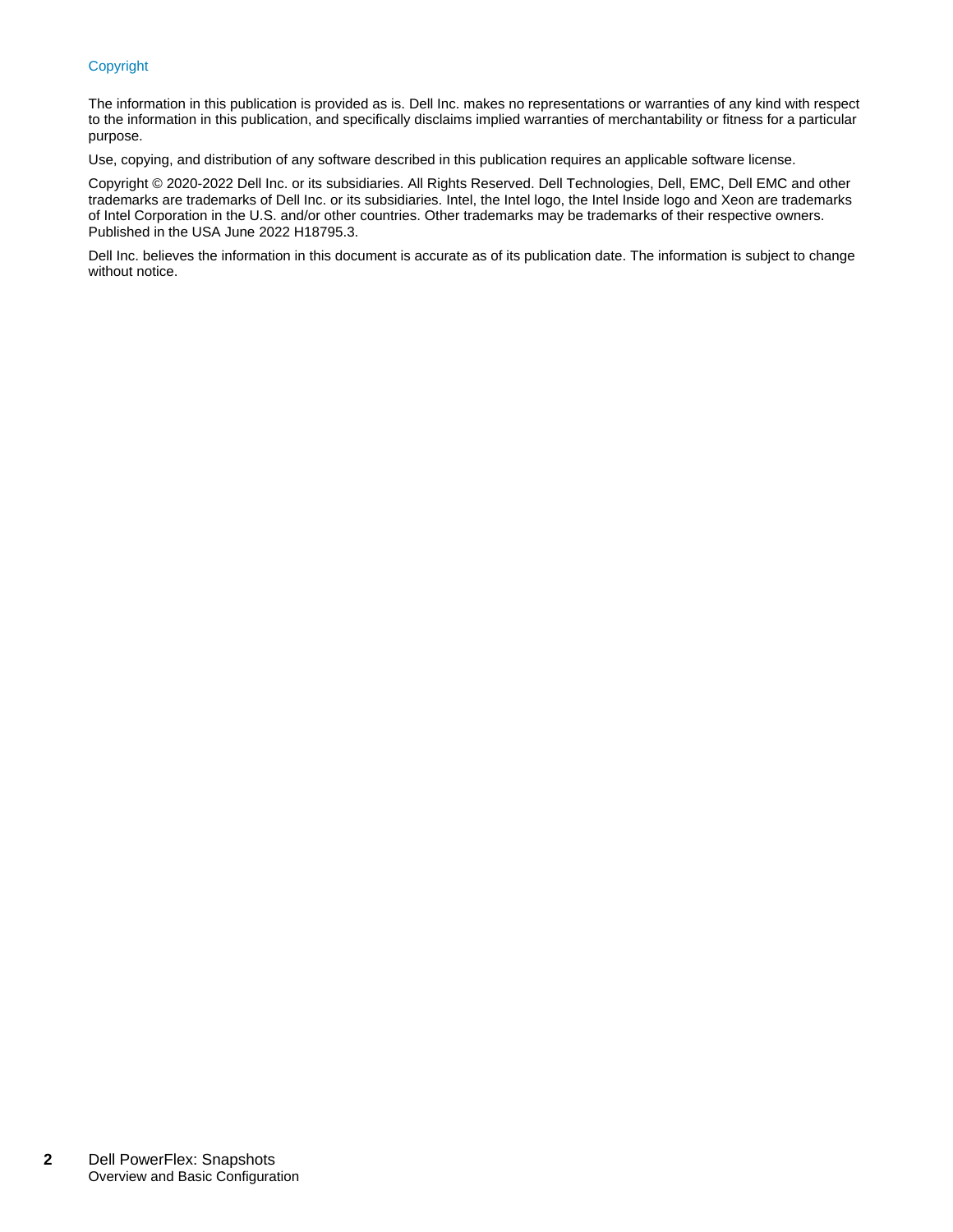#### Copyright

The information in this publication is provided as is. Dell Inc. makes no representations or warranties of any kind with respect to the information in this publication, and specifically disclaims implied warranties of merchantability or fitness for a particular purpose.

Use, copying, and distribution of any software described in this publication requires an applicable software license.

Copyright © 2020-2022 Dell Inc. or its subsidiaries. All Rights Reserved. Dell Technologies, Dell, EMC, Dell EMC and other trademarks are trademarks of Dell Inc. or its subsidiaries. Intel, the Intel logo, the Intel Inside logo and Xeon are trademarks of Intel Corporation in the U.S. and/or other countries. Other trademarks may be trademarks of their respective owners. Published in the USA June 2022 H18795.3.

Dell Inc. believes the information in this document is accurate as of its publication date. The information is subject to change without notice.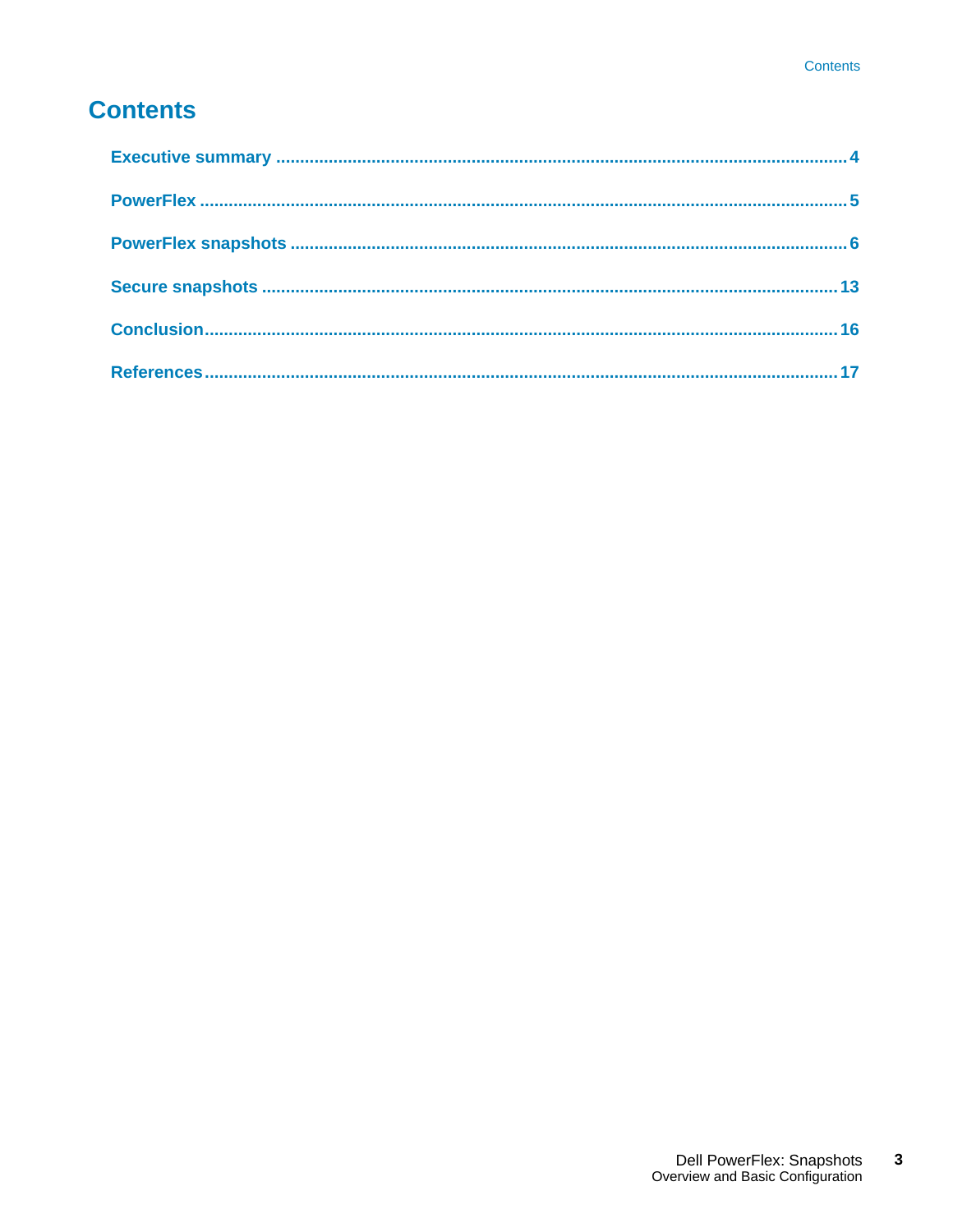## **Contents**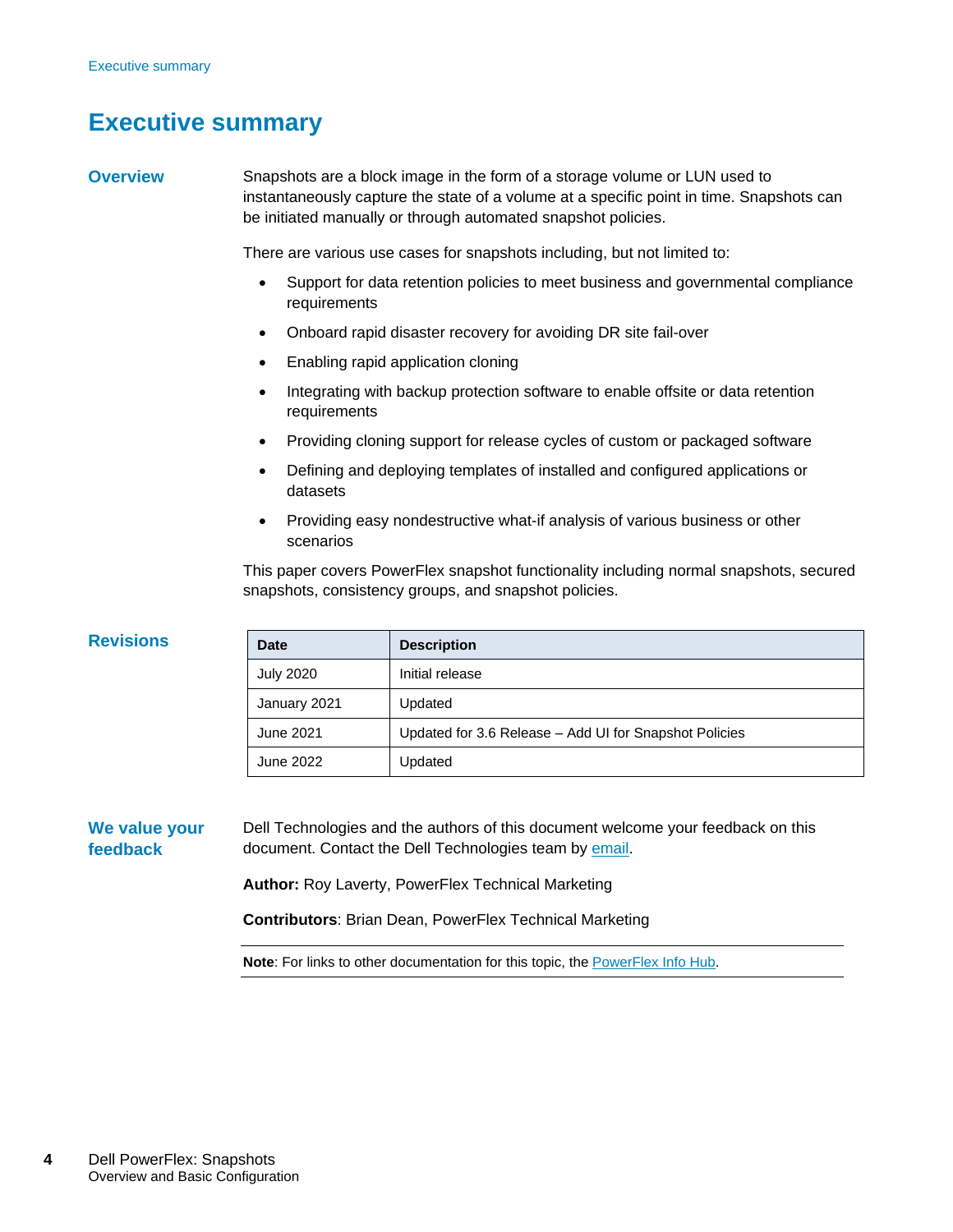### <span id="page-3-0"></span>**Executive summary**

#### **Overview**

**Revisions**

Snapshots are a block image in the form of a storage volume or LUN used to instantaneously capture the state of a volume at a specific point in time. Snapshots can be initiated manually or through automated snapshot policies.

There are various use cases for snapshots including, but not limited to:

- Support for data retention policies to meet business and governmental compliance requirements
- Onboard rapid disaster recovery for avoiding DR site fail-over
- Enabling rapid application cloning
- Integrating with backup protection software to enable offsite or data retention requirements
- Providing cloning support for release cycles of custom or packaged software
- Defining and deploying templates of installed and configured applications or datasets
- Providing easy nondestructive what-if analysis of various business or other scenarios

This paper covers PowerFlex snapshot functionality including normal snapshots, secured snapshots, consistency groups, and snapshot policies.

| <b>Revisions</b>          | <b>Date</b>      | <b>Description</b>                                                                                                                         |
|---------------------------|------------------|--------------------------------------------------------------------------------------------------------------------------------------------|
|                           | <b>July 2020</b> | Initial release                                                                                                                            |
|                           | January 2021     | Updated                                                                                                                                    |
|                           | June 2021        | Updated for 3.6 Release – Add UI for Snapshot Policies                                                                                     |
|                           | June 2022        | Updated                                                                                                                                    |
| We value your<br>feedback |                  | Dell Technologies and the authors of this document welcome your feedback on this<br>document. Contact the Dell Technologies team by email. |
|                           |                  | Author: Roy Laverty, PowerFlex Technical Marketing                                                                                         |

**Contributors**: Brian Dean, PowerFlex Technical Marketing

**Note**: For links to other documentation for this topic, the [PowerFlex Info Hub.](https://infohub.delltechnologies.com/t/powerflex-14/)

#### **4** Dell PowerFlex: Snapshots Overview and Basic Configuration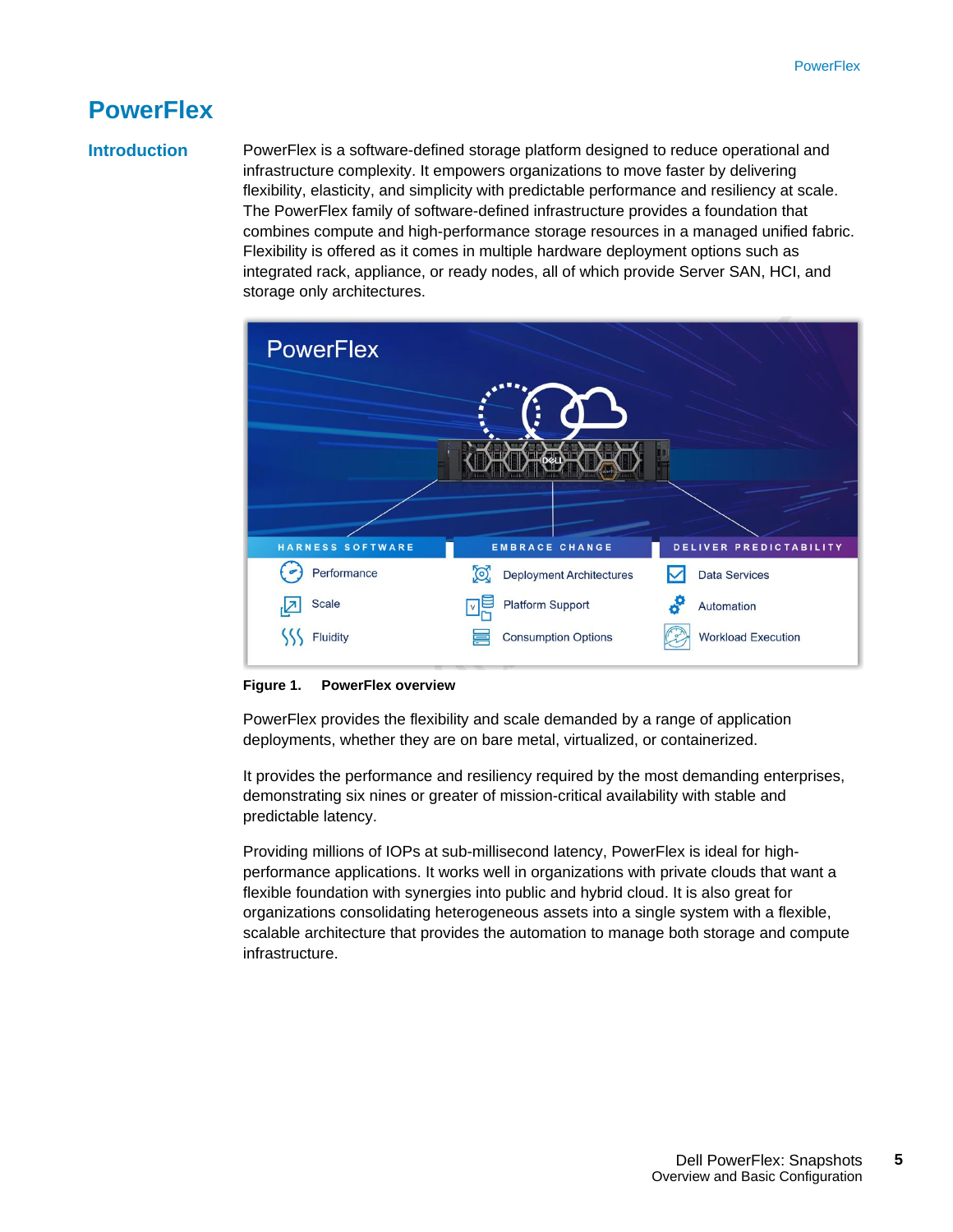### <span id="page-4-0"></span>**PowerFlex**

### **Introduction**

PowerFlex is a software-defined storage platform designed to reduce operational and infrastructure complexity. It empowers organizations to move faster by delivering flexibility, elasticity, and simplicity with predictable performance and resiliency at scale. The PowerFlex family of software-defined infrastructure provides a foundation that combines compute and high-performance storage resources in a managed unified fabric. Flexibility is offered as it comes in multiple hardware deployment options such as integrated rack, appliance, or ready nodes, all of which provide Server SAN, HCI, and storage only architectures.



#### **Figure 1. PowerFlex overview**

PowerFlex provides the flexibility and scale demanded by a range of application deployments, whether they are on bare metal, virtualized, or containerized.

It provides the performance and resiliency required by the most demanding enterprises, demonstrating six nines or greater of mission-critical availability with stable and predictable latency.

Providing millions of IOPs at sub-millisecond latency, PowerFlex is ideal for highperformance applications. It works well in organizations with private clouds that want a flexible foundation with synergies into public and hybrid cloud. It is also great for organizations consolidating heterogeneous assets into a single system with a flexible, scalable architecture that provides the automation to manage both storage and compute infrastructure.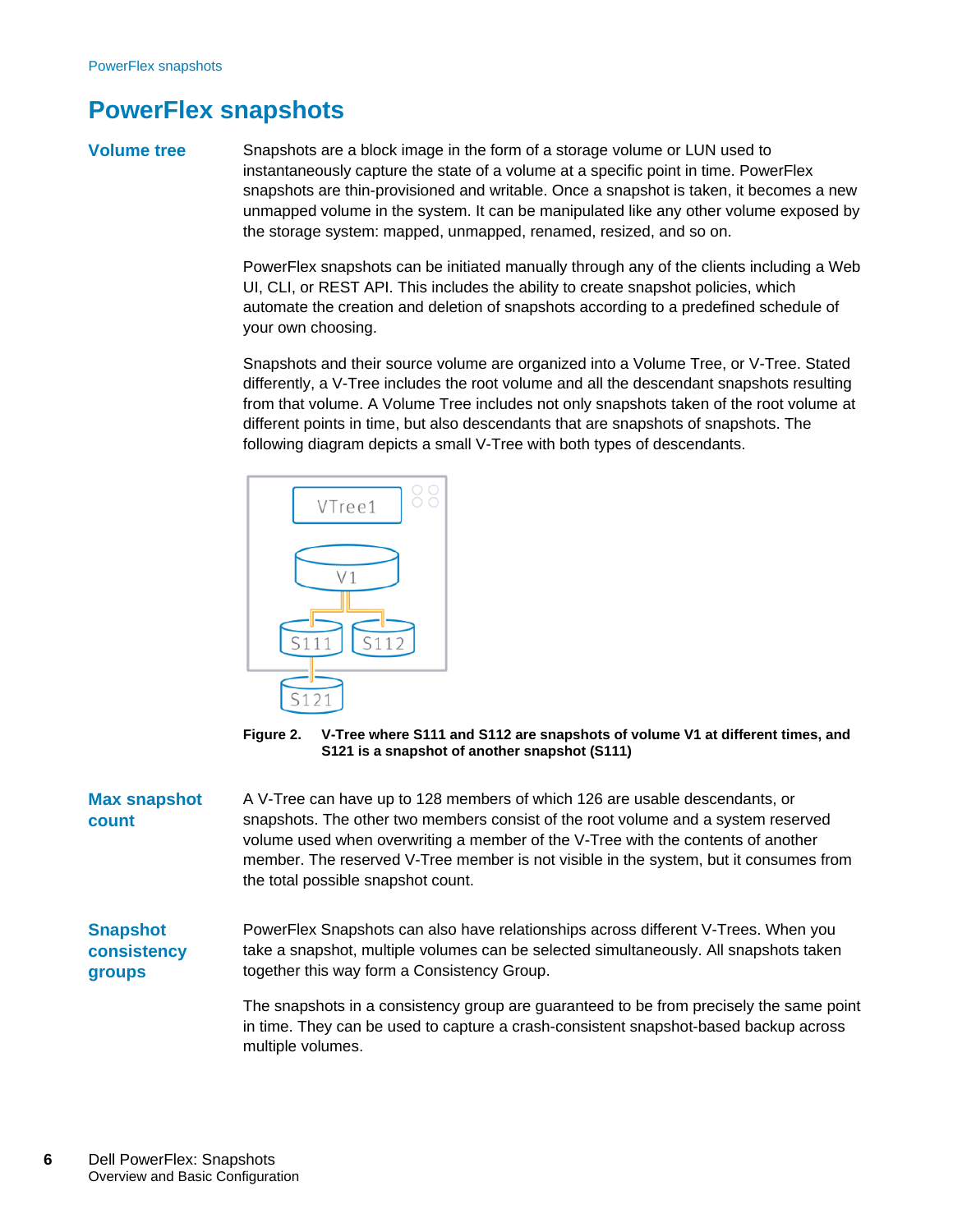### <span id="page-5-0"></span>**PowerFlex snapshots**

#### **Volume tree**

Snapshots are a block image in the form of a storage volume or LUN used to instantaneously capture the state of a volume at a specific point in time. PowerFlex snapshots are thin-provisioned and writable. Once a snapshot is taken, it becomes a new unmapped volume in the system. It can be manipulated like any other volume exposed by the storage system: mapped, unmapped, renamed, resized, and so on.

PowerFlex snapshots can be initiated manually through any of the clients including a Web UI, CLI, or REST API. This includes the ability to create snapshot policies, which automate the creation and deletion of snapshots according to a predefined schedule of your own choosing.

Snapshots and their source volume are organized into a Volume Tree, or V-Tree. Stated differently, a V-Tree includes the root volume and all the descendant snapshots resulting from that volume. A Volume Tree includes not only snapshots taken of the root volume at different points in time, but also descendants that are snapshots of snapshots. The following diagram depicts a small V-Tree with both types of descendants.



**Figure 2. V-Tree where S111 and S112 are snapshots of volume V1 at different times, and S121 is a snapshot of another snapshot (S111)**

A V-Tree can have up to 128 members of which 126 are usable descendants, or snapshots. The other two members consist of the root volume and a system reserved volume used when overwriting a member of the V-Tree with the contents of another member. The reserved V-Tree member is not visible in the system, but it consumes from the total possible snapshot count. **Max snapshot count**

PowerFlex Snapshots can also have relationships across different V-Trees. When you take a snapshot, multiple volumes can be selected simultaneously. All snapshots taken together this way form a Consistency Group. **Snapshot consistency groups**

> The snapshots in a consistency group are guaranteed to be from precisely the same point in time. They can be used to capture a crash-consistent snapshot-based backup across multiple volumes.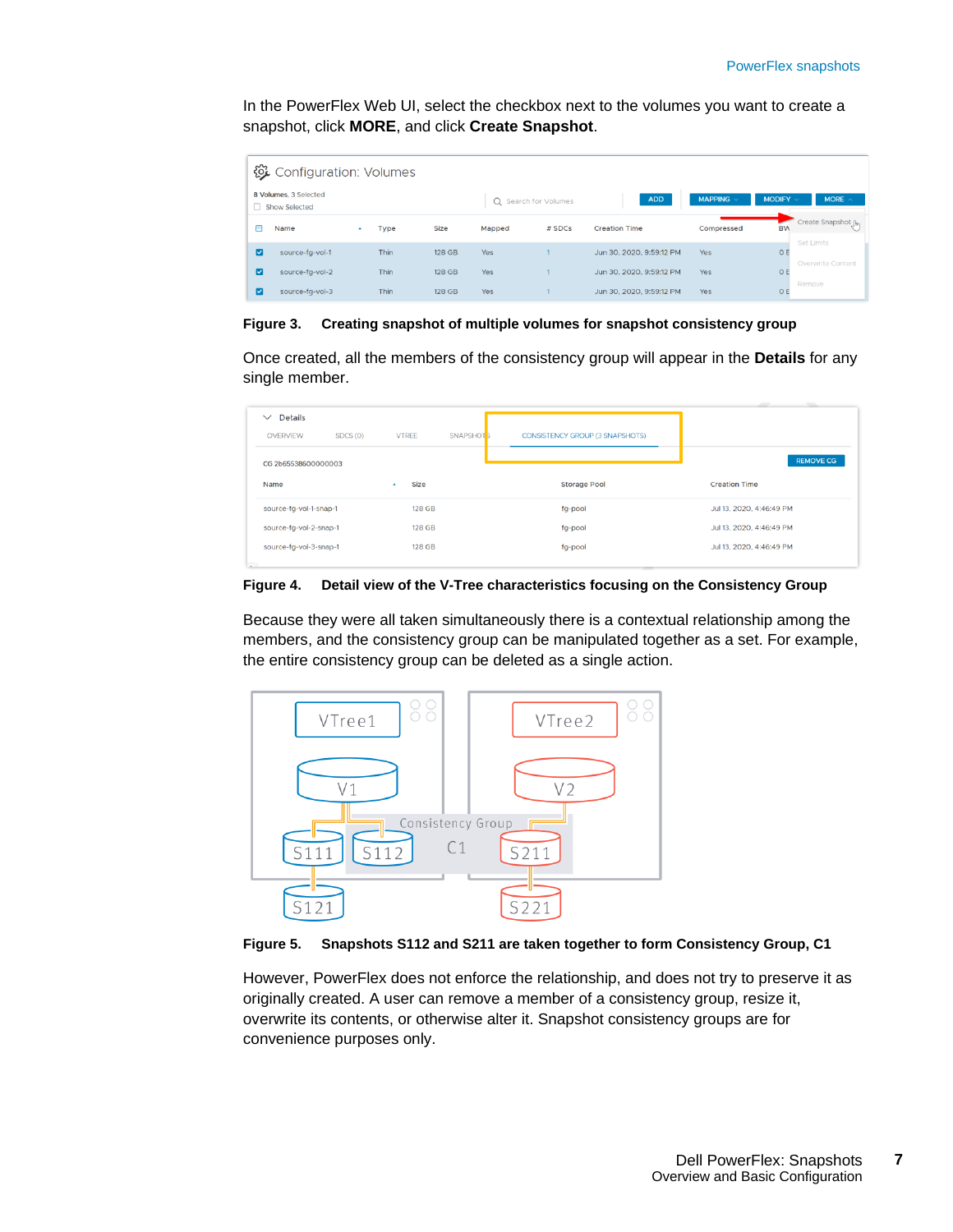In the PowerFlex Web UI, select the checkbox next to the volumes you want to create a snapshot, click **MORE**, and click **Create Snapshot**.

|   | 後 Configuration: Volumes               |                  |      |        |        |                      |                          |                |                                   |
|---|----------------------------------------|------------------|------|--------|--------|----------------------|--------------------------|----------------|-----------------------------------|
|   | 8 Volumes, 3 Selected<br>Show Selected |                  |      |        |        | Q Search for Volumes | <b>ADD</b>               | MAPPING $\vee$ | MODIFY $\vee$<br>MORE $\land$     |
| A | Name                                   | $\blacktriangle$ | Type | Size   | Mapped | # SDCs               | <b>Creation Time</b>     | Compressed     | Create Snapshot [hm]<br><b>BW</b> |
| ы | source-fa-vol-1                        |                  | Thin | 128 GB | Yes    |                      | Jun 30, 2020, 9:59:12 PM | Yes            | Set Limits<br>O E                 |
| ø | source-fa-vol-2                        |                  | Thin | 128 GB | Yes    |                      | Jun 30, 2020, 9:59:12 PM | Yes            | Overwrite Content<br>O E          |
| ø | source-fg-vol-3                        |                  | Thin | 128 GB | Yes    |                      | Jun 30, 2020, 9:59:12 PM | Yes            | Remove<br>$\circ$                 |

**Figure 3. Creating snapshot of multiple volumes for snapshot consistency group**

Once created, all the members of the consistency group will appear in the **Details** for any single member.

| <b>Details</b><br>$\checkmark$<br>SDCS(0)<br><b>OVERVIEW</b><br>CG 2b65538600000003 | <b>VTREE</b><br>SNAPSHOT <sub>5</sub> | <b>CONSISTENCY GROUP (3 SNAPSHOTS)</b> | <b>REMOVE CG</b>         |
|-------------------------------------------------------------------------------------|---------------------------------------|----------------------------------------|--------------------------|
| Name                                                                                | Size                                  | <b>Storage Pool</b>                    | <b>Creation Time</b>     |
| source-fg-vol-1-snap-1                                                              | 128 GB                                | fg-pool                                | Jul 13, 2020, 4:46:49 PM |
| source-fg-vol-2-snap-1                                                              | 128 GB                                | fg-pool                                | Jul 13, 2020, 4:46:49 PM |
| source-fg-vol-3-snap-1                                                              | <b>128 GB</b>                         | fg-pool                                | Jul 13, 2020, 4:46:49 PM |

**Figure 4. Detail view of the V-Tree characteristics focusing on the Consistency Group**

Because they were all taken simultaneously there is a contextual relationship among the members, and the consistency group can be manipulated together as a set. For example, the entire consistency group can be deleted as a single action.





However, PowerFlex does not enforce the relationship, and does not try to preserve it as originally created. A user can remove a member of a consistency group, resize it, overwrite its contents, or otherwise alter it. Snapshot consistency groups are for convenience purposes only.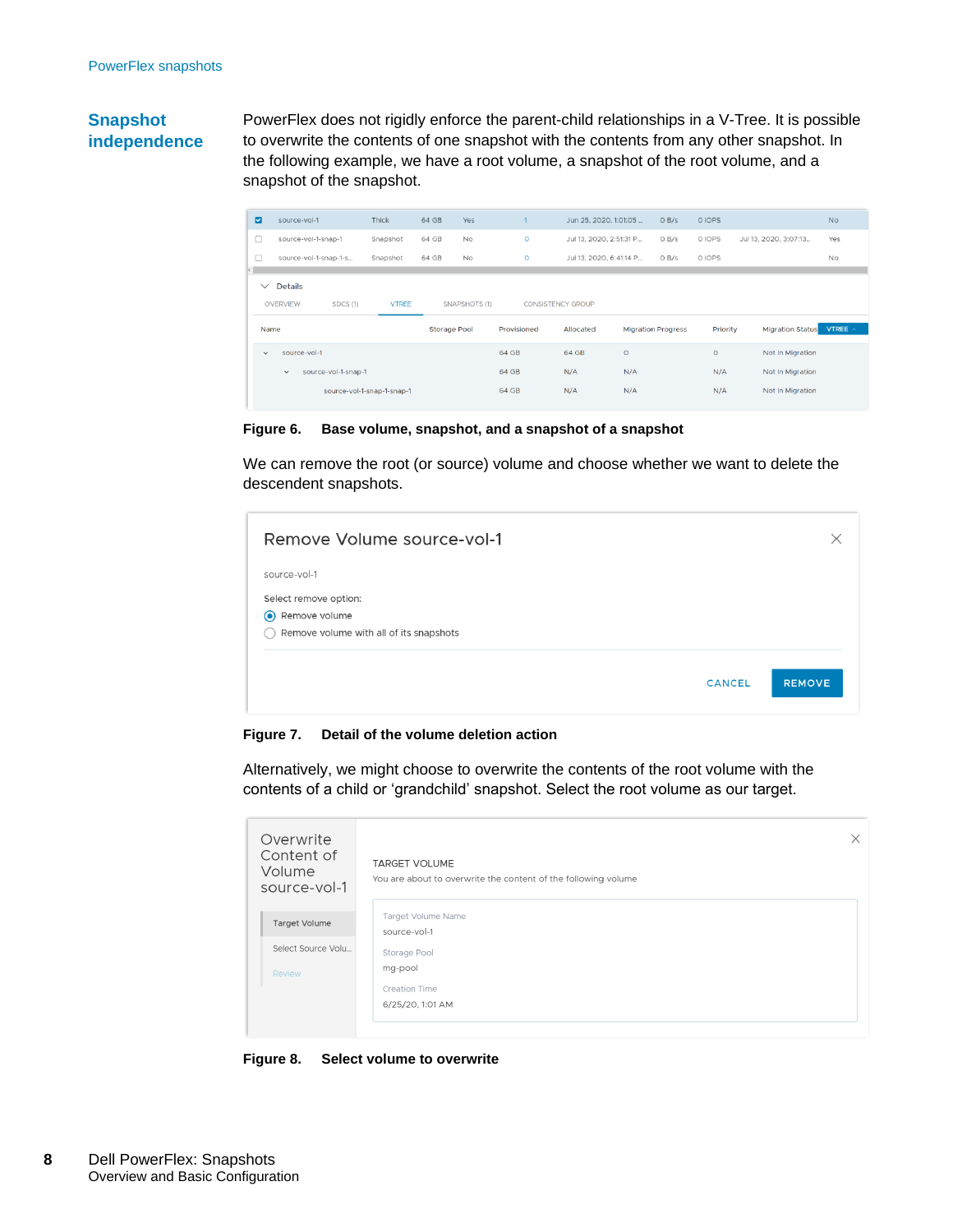#### **Snapshot independence**

PowerFlex does not rigidly enforce the parent-child relationships in a V-Tree. It is possible to overwrite the contents of one snapshot with the contents from any other snapshot. In the following example, we have a root volume, a snapshot of the root volume, and a snapshot of the snapshot.

| $\blacksquare$ | source-vol-1                                  | Thick                      | 64 GB               | Yes                  |             | Jun 25, 2020, 1:01:05    | O <sub>B</sub> /s         | 0 IOPS   |                         | <b>No</b> |
|----------------|-----------------------------------------------|----------------------------|---------------------|----------------------|-------------|--------------------------|---------------------------|----------|-------------------------|-----------|
| $\Box$         | source-vol-1-snap-1                           | Snapshot                   | 64 GB               | <b>No</b>            | $\circ$     | Jul 13, 2020, 2:51:31 P  | O <sub>B</sub> /s         | O IOPS   | Jul 13, 2020, 3:07:13   | Yes       |
| п              | source-vol-1-snap-1-s                         | Snapshot                   | 64 GB               | <b>No</b>            | $\circ$     | Jul 13, 2020, 6:41:14 P  | O <sub>B</sub> /s         | 0 IOPS   |                         | No        |
| Œ              |                                               |                            |                     |                      |             |                          |                           |          |                         |           |
| $\checkmark$   | <b>Details</b><br>SDCS (1)<br><b>OVERVIEW</b> | <b>VTREE</b>               |                     | <b>SNAPSHOTS (1)</b> |             | <b>CONSISTENCY GROUP</b> |                           |          |                         |           |
|                | Name                                          |                            | <b>Storage Pool</b> |                      | Provisioned | Allocated                | <b>Migration Progress</b> | Priority | <b>Migration Status</b> | VTREE A   |
|                |                                               |                            |                     |                      |             |                          |                           |          |                         |           |
| $\checkmark$   | source-vol-1                                  |                            |                     |                      | 64 GB       | 64 GB                    | $\circ$                   | $\circ$  | Not In Migration        |           |
|                | source-vol-1-snap-1<br>$\checkmark$           |                            |                     |                      | 64 GB       | N/A                      | N/A                       | N/A      | Not In Migration        |           |
|                |                                               | source-vol-1-snap-1-snap-1 |                     |                      | 64 GB       | N/A                      | N/A                       | N/A      | Not In Migration        |           |

**Figure 6. Base volume, snapshot, and a snapshot of a snapshot**

We can remove the root (or source) volume and choose whether we want to delete the descendent snapshots.

| Remove Volume source-vol-1                     |               | $\times$      |
|------------------------------------------------|---------------|---------------|
| source-vol-1                                   |               |               |
| Select remove option:                          |               |               |
| Remove volume<br>$\odot$                       |               |               |
| Remove volume with all of its snapshots<br>( ) |               |               |
|                                                |               |               |
|                                                | <b>CANCEL</b> | <b>REMOVE</b> |
|                                                |               |               |

**Figure 7. Detail of the volume deletion action**

Alternatively, we might choose to overwrite the contents of the root volume with the contents of a child or 'grandchild' snapshot. Select the root volume as our target.

| Overwrite<br>Content of<br>Volume<br>source-vol-1 | <b>TARGET VOLUME</b><br>You are about to overwrite the content of the following volume | $\times$ |
|---------------------------------------------------|----------------------------------------------------------------------------------------|----------|
| Target Volume                                     | Target Volume Name<br>source-vol-1                                                     |          |
| Select Source Volu                                | Storage Pool                                                                           |          |
| Review                                            | mg-pool                                                                                |          |
|                                                   | Creation Time                                                                          |          |
|                                                   | 6/25/20, 1:01 AM                                                                       |          |

**Figure 8. Select volume to overwrite**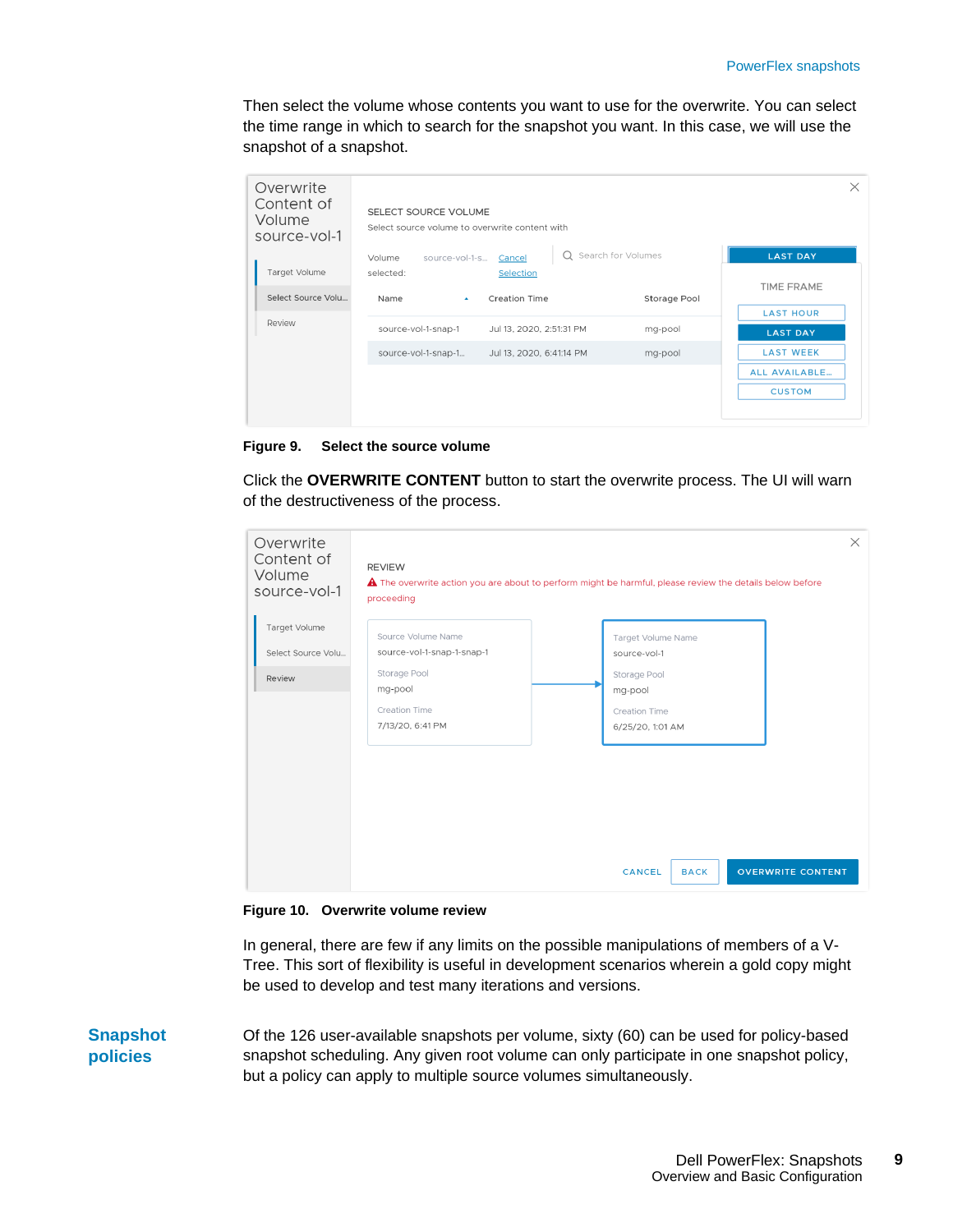Then select the volume whose contents you want to use for the overwrite. You can select the time range in which to search for the snapshot you want. In this case, we will use the snapshot of a snapshot.

| Overwrite<br>Content of<br>Volume<br>source-vol-1 | SELECT SOURCE VOLUME<br>Select source volume to overwrite content with |                      | $\times$             |
|---------------------------------------------------|------------------------------------------------------------------------|----------------------|----------------------|
|                                                   | source-vol-1-s Cancel<br>Volume                                        | Q Search for Volumes | <b>LAST DAY</b>      |
| Target Volume                                     | selected:<br>Selection                                                 |                      |                      |
| Select Source Volu                                | <b>Creation Time</b><br>Name<br>$\Delta$                               | Storage Pool         | <b>TIME FRAME</b>    |
| Review                                            |                                                                        |                      | <b>LAST HOUR</b>     |
|                                                   | source-vol-1-snap-1<br>Jul 13, 2020, 2:51:31 PM                        | mg-pool              | <b>LAST DAY</b>      |
|                                                   | source-vol-1-snap-1<br>Jul 13, 2020, 6:41:14 PM                        | mg-pool              | <b>LAST WEEK</b>     |
|                                                   |                                                                        |                      | <b>ALL AVAILABLE</b> |
|                                                   |                                                                        |                      | <b>CUSTOM</b>        |
|                                                   |                                                                        |                      |                      |

**Figure 9. Select the source volume**

Click the **OVERWRITE CONTENT** button to start the overwrite process. The UI will warn of the destructiveness of the process.



**Figure 10. Overwrite volume review**

In general, there are few if any limits on the possible manipulations of members of a V-Tree. This sort of flexibility is useful in development scenarios wherein a gold copy might be used to develop and test many iterations and versions.

Of the 126 user-available snapshots per volume, sixty (60) can be used for policy-based snapshot scheduling. Any given root volume can only participate in one snapshot policy, but a policy can apply to multiple source volumes simultaneously. **Snapshot policies**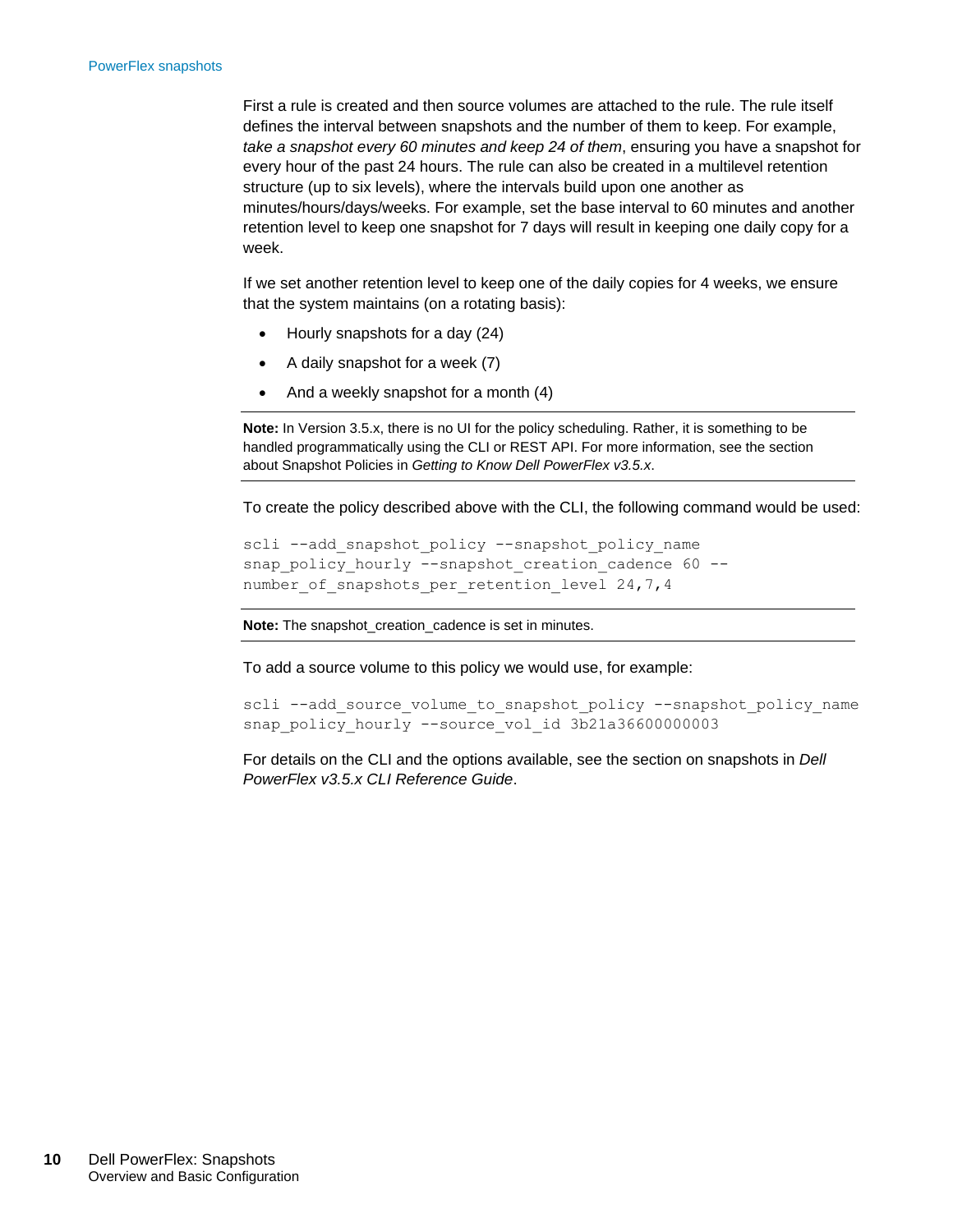First a rule is created and then source volumes are attached to the rule. The rule itself defines the interval between snapshots and the number of them to keep. For example, *take a snapshot every 60 minutes and keep 24 of them*, ensuring you have a snapshot for every hour of the past 24 hours. The rule can also be created in a multilevel retention structure (up to six levels), where the intervals build upon one another as minutes/hours/days/weeks. For example, set the base interval to 60 minutes and another retention level to keep one snapshot for 7 days will result in keeping one daily copy for a week.

If we set another retention level to keep one of the daily copies for 4 weeks, we ensure that the system maintains (on a rotating basis):

- Hourly snapshots for a day (24)
- A daily snapshot for a week (7)
- And a weekly snapshot for a month (4)

**Note:** In Version 3.5.x, there is no UI for the policy scheduling. Rather, it is something to be handled programmatically using the CLI or REST API. For more information, see the section about Snapshot Policies in *Getting to Know Dell PowerFlex v3.5.x*.

To create the policy described above with the CLI, the following command would be used:

```
scli --add snapshot policy --snapshot policy name
snap_policy_hourly --snapshot_creation_cadence 60 --
number of snapshots per retention level 24,7,4
```
**Note:** The snapshot\_creation\_cadence is set in minutes.

To add a source volume to this policy we would use, for example:

scli --add source volume to snapshot policy --snapshot policy name snap\_policy\_hourly --source\_vol\_id 3b21a36600000003

For details on the CLI and the options available, see the section on snapshots in *Dell PowerFlex v3.5.x CLI Reference Guide*.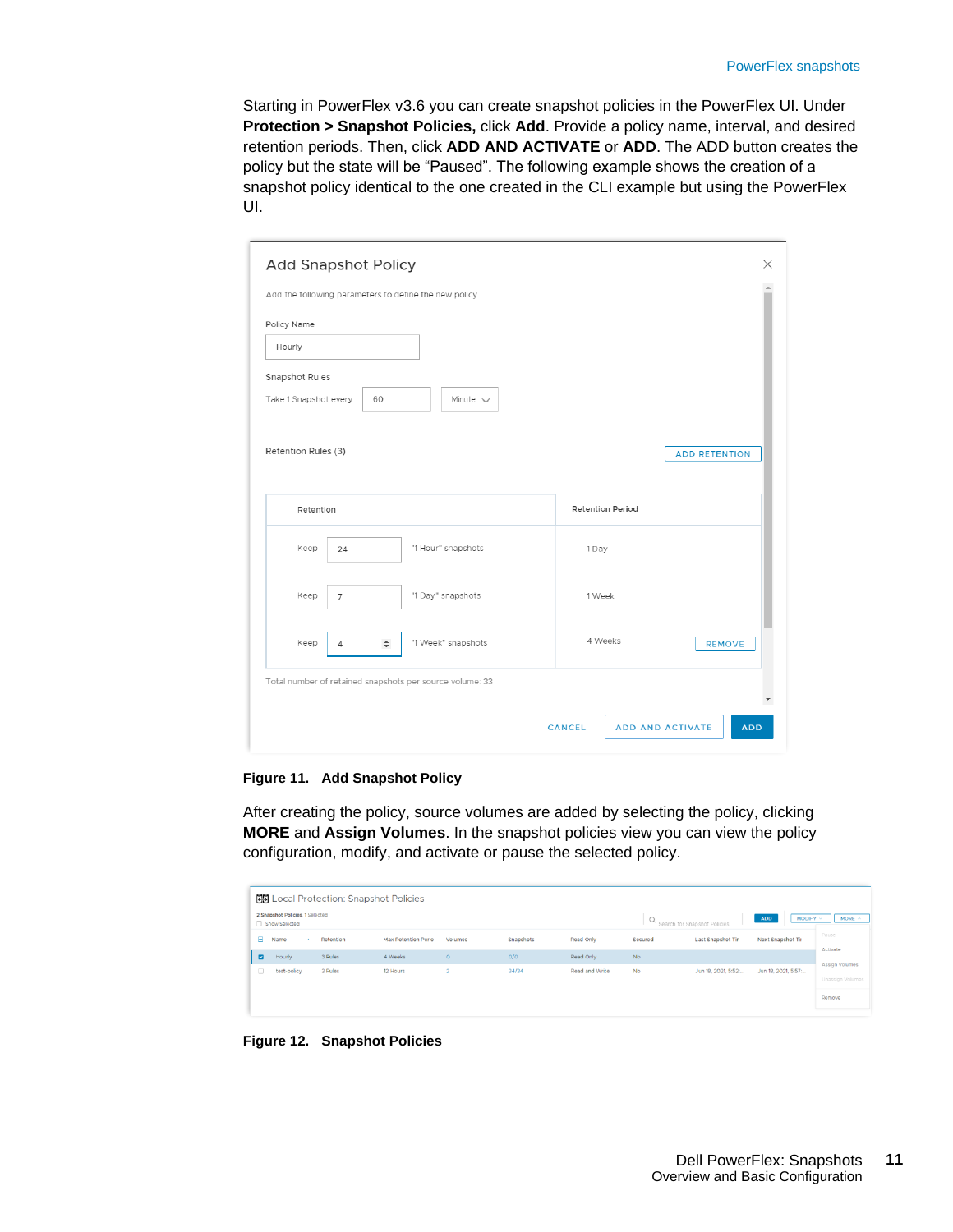Starting in PowerFlex v3.6 you can create snapshot policies in the PowerFlex UI. Under **Protection > Snapshot Policies,** click **Add**. Provide a policy name, interval, and desired retention periods. Then, click **ADD AND ACTIVATE** or **ADD**. The ADD button creates the policy but the state will be "Paused". The following example shows the creation of a snapshot policy identical to the one created in the CLI example but using the PowerFlex UI.

| Policy Name                             |                |                    |                         |                      |
|-----------------------------------------|----------------|--------------------|-------------------------|----------------------|
| Hourly                                  |                |                    |                         |                      |
| Snapshot Rules<br>Take 1 Snapshot every | 60             | Minute $\vee$      |                         |                      |
| Retention Rules (3)                     |                |                    |                         | <b>ADD RETENTION</b> |
| Retention                               |                |                    | <b>Retention Period</b> |                      |
| Keep                                    | 24             | "1 Hour" snapshots | 1 Day                   |                      |
| Keep                                    | $\overline{7}$ | "1 Day" snapshots  | 1 Week                  |                      |
| Keep                                    | $\div$<br>4    | "1 Week" snapshots | 4 Weeks                 | <b>REMOVE</b>        |
|                                         |                |                    |                         |                      |

**Figure 11. Add Snapshot Policy**

After creating the policy, source volumes are added by selecting the policy, clicking **MORE** and **Assign Volumes**. In the snapshot policies view you can view the policy configuration, modify, and activate or pause the selected policy.

|                |                                                  | <b>图</b> Local Protection: Snapshot Policies |                            |         |           |                |           |                              |                      |                       |
|----------------|--------------------------------------------------|----------------------------------------------|----------------------------|---------|-----------|----------------|-----------|------------------------------|----------------------|-----------------------|
|                | 2 Snapshot Policies, 1 Selected<br>Show Selected |                                              |                            |         |           |                | Q         | Search for Snapshot Policies | MODIFY<br><b>ADD</b> | MORE $\sim$           |
| Θ              | Name<br>$\sim$                                   | Retention                                    | <b>Max Retention Perio</b> | Volumes | Snapshots | Read Only      | Secured   | Last Snapshot Tin            | Next Snapshot Tir    | Pause<br>Activate     |
| $\blacksquare$ | Hourly                                           | 3 Rules                                      | 4 Weeks                    | $\circ$ | O/O       | Read Only      | <b>No</b> |                              |                      | <b>Assign Volumes</b> |
| $\Box$         | test-policy                                      | 3 Rules                                      | 12 Hours                   |         | 34/34     | Read and Write | <b>No</b> | Jun 18, 2021, 5:52:          | Jun 18, 2021, 5:57:  | Unassign Volumes      |
|                |                                                  |                                              |                            |         |           |                |           |                              |                      | Remove                |

**Figure 12. Snapshot Policies**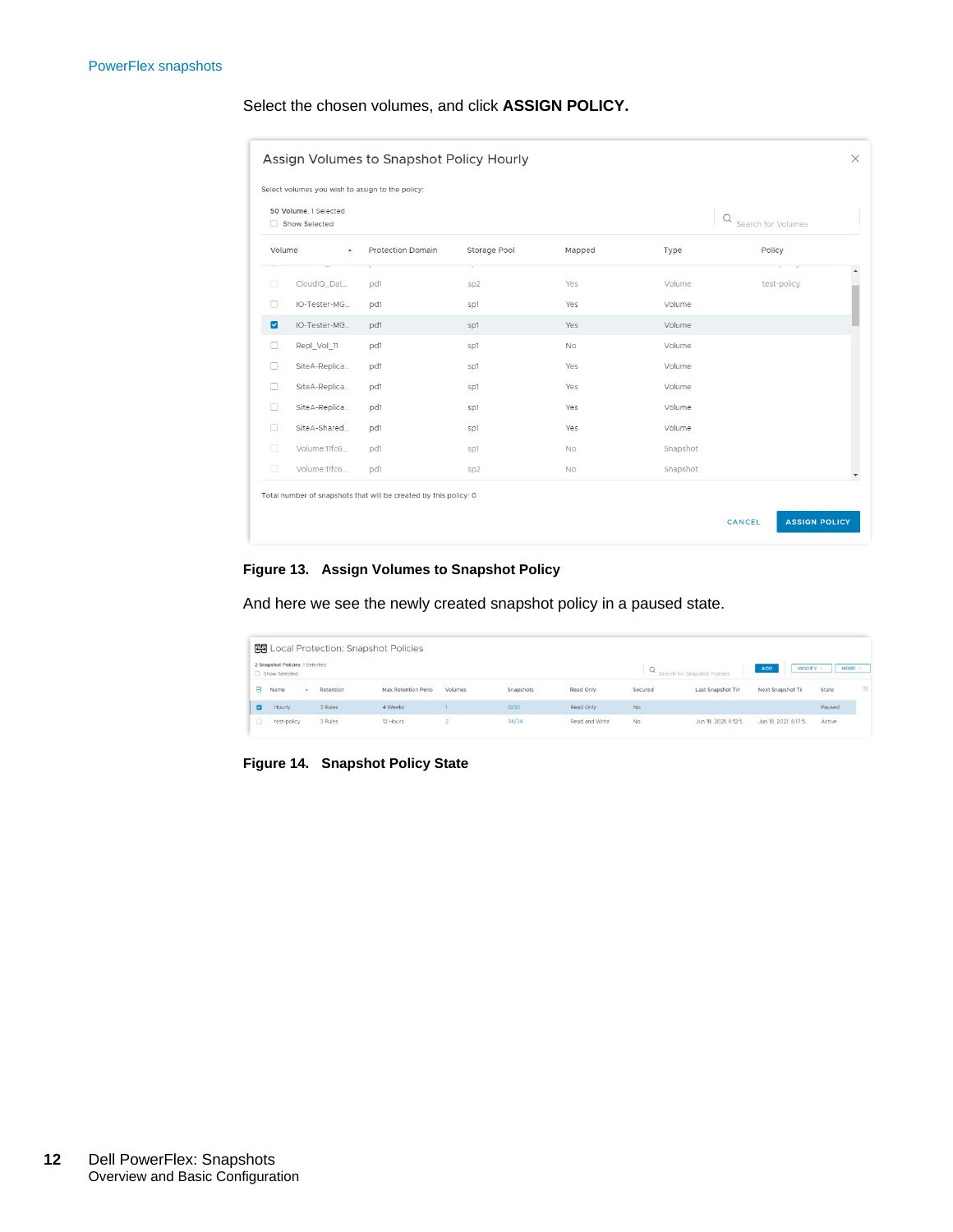### Select the chosen volumes, and click **ASSIGN POLICY.**

| Select volumes you wish to assign to the policy: |                                        |                          |                 |           |          |                    |  |  |  |  |  |  |
|--------------------------------------------------|----------------------------------------|--------------------------|-----------------|-----------|----------|--------------------|--|--|--|--|--|--|
|                                                  | 50 Volume, 1 Selected<br>Show Selected |                          |                 |           | Q        | Search for Volumes |  |  |  |  |  |  |
| Volume                                           | $\mathbf{A}$                           | <b>Protection Domain</b> | Storage Pool    | Mapped    | Type     | Policy             |  |  |  |  |  |  |
| n                                                | CloudIQ_Dat                            | pd1                      | SD2             | Yes       | Volume   | test-policy        |  |  |  |  |  |  |
| n                                                | IO-Tester-MG                           | pd1                      | sp1             | Yes       | Volume   |                    |  |  |  |  |  |  |
| $\overline{\mathbf{z}}$                          | IO-Tester-MG                           | pd1                      | sp1             | Yes       | Volume   |                    |  |  |  |  |  |  |
| п                                                | Repl_Vol_11                            | pd1                      | sp1             | <b>No</b> | Volume   |                    |  |  |  |  |  |  |
| n                                                | SiteA-Replica                          | pd1                      | sp1             | Yes       | Volume   |                    |  |  |  |  |  |  |
| n                                                | SiteA-Replica                          | pd1                      | sp1             | Yes       | Volume   |                    |  |  |  |  |  |  |
| n                                                | SiteA-Replica                          | pd1                      | sp1             | Yes       | Volume   |                    |  |  |  |  |  |  |
| п                                                | SiteA-Shared                           | pd1                      | sp1             | Yes       | Volume   |                    |  |  |  |  |  |  |
| $\Box$                                           | Volume:11fc6                           | pd1                      | Sp1             | <b>No</b> | Snapshot |                    |  |  |  |  |  |  |
| $\Box$                                           | Volume:11fc6                           | pd1                      | sp <sub>2</sub> | No        | Snapshot |                    |  |  |  |  |  |  |

#### **Figure 13. Assign Volumes to Snapshot Policy**

And here we see the newly created snapshot policy in a paused state.

|    | <b>图</b> Local Protection: Snapshot Policies     |           |                            |         |           |                |           |                              |                              |             |          |
|----|--------------------------------------------------|-----------|----------------------------|---------|-----------|----------------|-----------|------------------------------|------------------------------|-------------|----------|
|    | 2 Snapshot Policies, 1 Selected<br>Show Selected |           |                            |         |           |                |           | Search for Snapshot Policies | <b>ADD</b><br>$MODIFY ~\vee$ | MORE $\sim$ |          |
| A  | Name                                             | Retention | <b>Max Retention Perio</b> | Volumes | Snapshots | Read Only      | Secured   | <b>Last Snapshot Tin</b>     | Next Snapshot Tir            | State       | $\equiv$ |
| ø  | Hourly                                           | 3 Rules   | 4 Weeks                    |         | 0/33      | Read Only      | <b>No</b> |                              |                              | Paused      |          |
| Ω. | test-policy                                      | 3 Rules   | 12 Hours                   |         | 34/34     | Read and Write | <b>No</b> | Jun 18, 2021, 6:12:5         | Jun 18, 2021, 6:17:5         | Active      |          |

**Figure 14. Snapshot Policy State**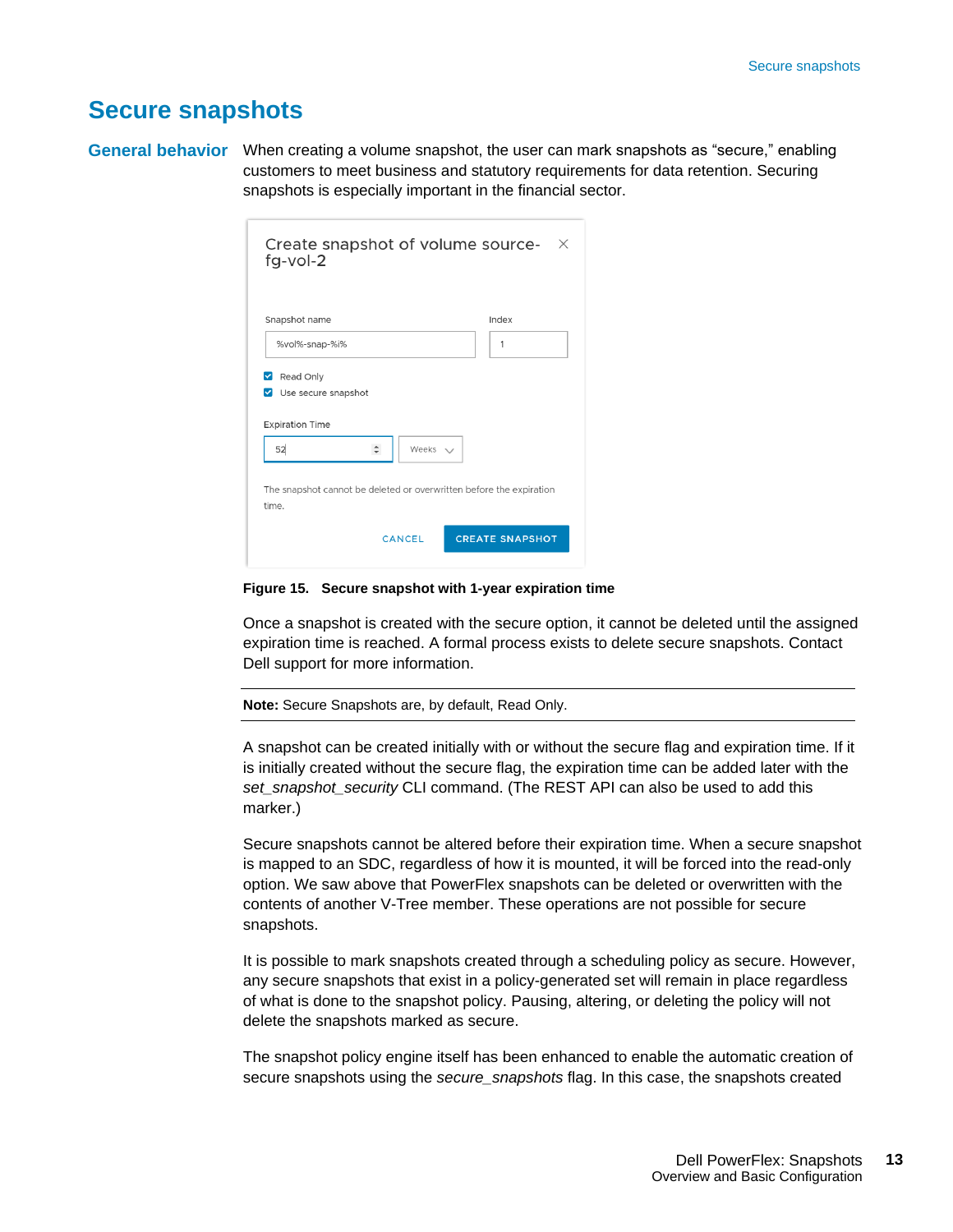### <span id="page-12-0"></span>**Secure snapshots**

General behavior When creating a volume snapshot, the user can mark snapshots as "secure," enabling customers to meet business and statutory requirements for data retention. Securing snapshots is especially important in the financial sector.

| Snapshot name                                                   |                   | Index |
|-----------------------------------------------------------------|-------------------|-------|
| %vol%-snap-%i%                                                  |                   | 1     |
| Read Only<br>Use secure snapshot<br>▿<br><b>Expiration Time</b> |                   |       |
| 52                                                              | Weeks $\vee$<br>÷ |       |
|                                                                 |                   |       |

**Figure 15. Secure snapshot with 1-year expiration time**

Once a snapshot is created with the secure option, it cannot be deleted until the assigned expiration time is reached. A formal process exists to delete secure snapshots. Contact Dell support for more information.

**Note:** Secure Snapshots are, by default, Read Only.

A snapshot can be created initially with or without the secure flag and expiration time. If it is initially created without the secure flag, the expiration time can be added later with the *set\_snapshot\_security* CLI command. (The REST API can also be used to add this marker.)

Secure snapshots cannot be altered before their expiration time. When a secure snapshot is mapped to an SDC, regardless of how it is mounted, it will be forced into the read-only option. We saw above that PowerFlex snapshots can be deleted or overwritten with the contents of another V-Tree member. These operations are not possible for secure snapshots.

It is possible to mark snapshots created through a scheduling policy as secure. However, any secure snapshots that exist in a policy-generated set will remain in place regardless of what is done to the snapshot policy. Pausing, altering, or deleting the policy will not delete the snapshots marked as secure.

The snapshot policy engine itself has been enhanced to enable the automatic creation of secure snapshots using the *secure\_snapshots* flag. In this case, the snapshots created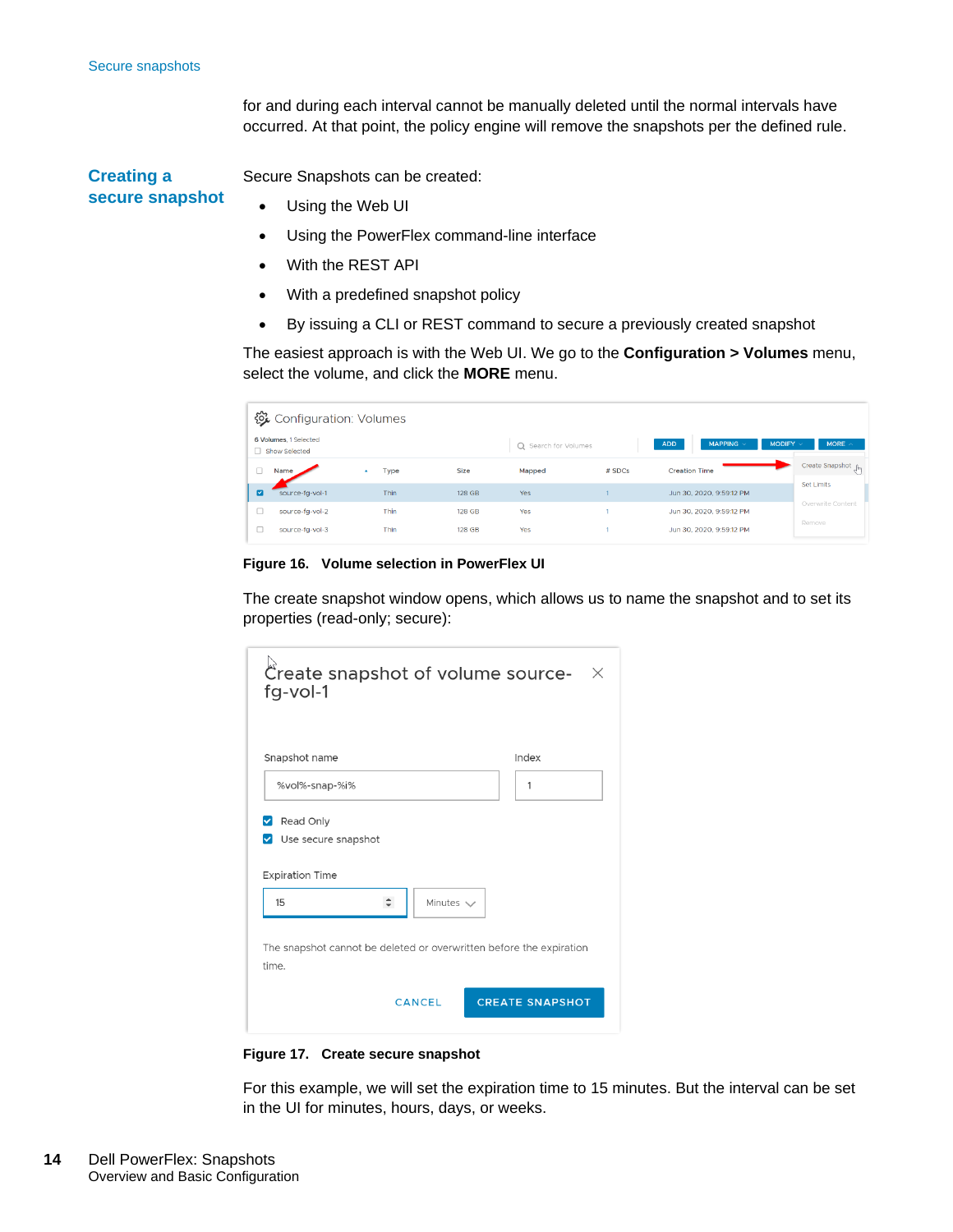for and during each interval cannot be manually deleted until the normal intervals have occurred. At that point, the policy engine will remove the snapshots per the defined rule.

Secure Snapshots can be created: • Using the Web UI **Creating a secure snapshot**

- Using the PowerFlex command-line interface
- With the REST API
- With a predefined snapshot policy
- By issuing a CLI or REST command to secure a previously created snapshot

The easiest approach is with the Web UI. We go to the **Configuration > Volumes** menu, select the volume, and click the **MORE** menu.

|   | 後 Configuration: Volumes               |      |               |                      |        |                              |                         |                                   |
|---|----------------------------------------|------|---------------|----------------------|--------|------------------------------|-------------------------|-----------------------------------|
|   | 6 Volumes, 1 Selected<br>Show Selected |      |               | Q Search for Volumes |        | <b>ADD</b><br><b>MAPPING</b> | <b>MODIFY</b><br>$\sim$ | MORE $\land$                      |
|   | Name                                   | Type | <b>Size</b>   | Mapped               | # SDCs | <b>Creation Time</b>         |                         | Create Snapshot <sub>c</sub> hing |
| ☑ | source-fg-vol-1                        | Thin | 128 GB        | Yes                  |        | Jun 30, 2020, 9:59:12 PM     |                         | <b>Set Limits</b>                 |
| г | source-fa-vol-2                        | Thin | <b>128 GB</b> | Yes                  |        | Jun 30, 2020, 9:59:12 PM     |                         | Overwrite Content                 |
|   | source-fg-vol-3                        | Thin | 128 GB        | Yes                  |        | Jun 30, 2020, 9:59:12 PM     |                         | Remove                            |

**Figure 16. Volume selection in PowerFlex UI**

The create snapshot window opens, which allows us to name the snapshot and to set its properties (read-only; secure):

| 1 |                |
|---|----------------|
|   |                |
|   |                |
|   |                |
|   | Minutes $\vee$ |

**Figure 17. Create secure snapshot**

For this example, we will set the expiration time to 15 minutes. But the interval can be set in the UI for minutes, hours, days, or weeks.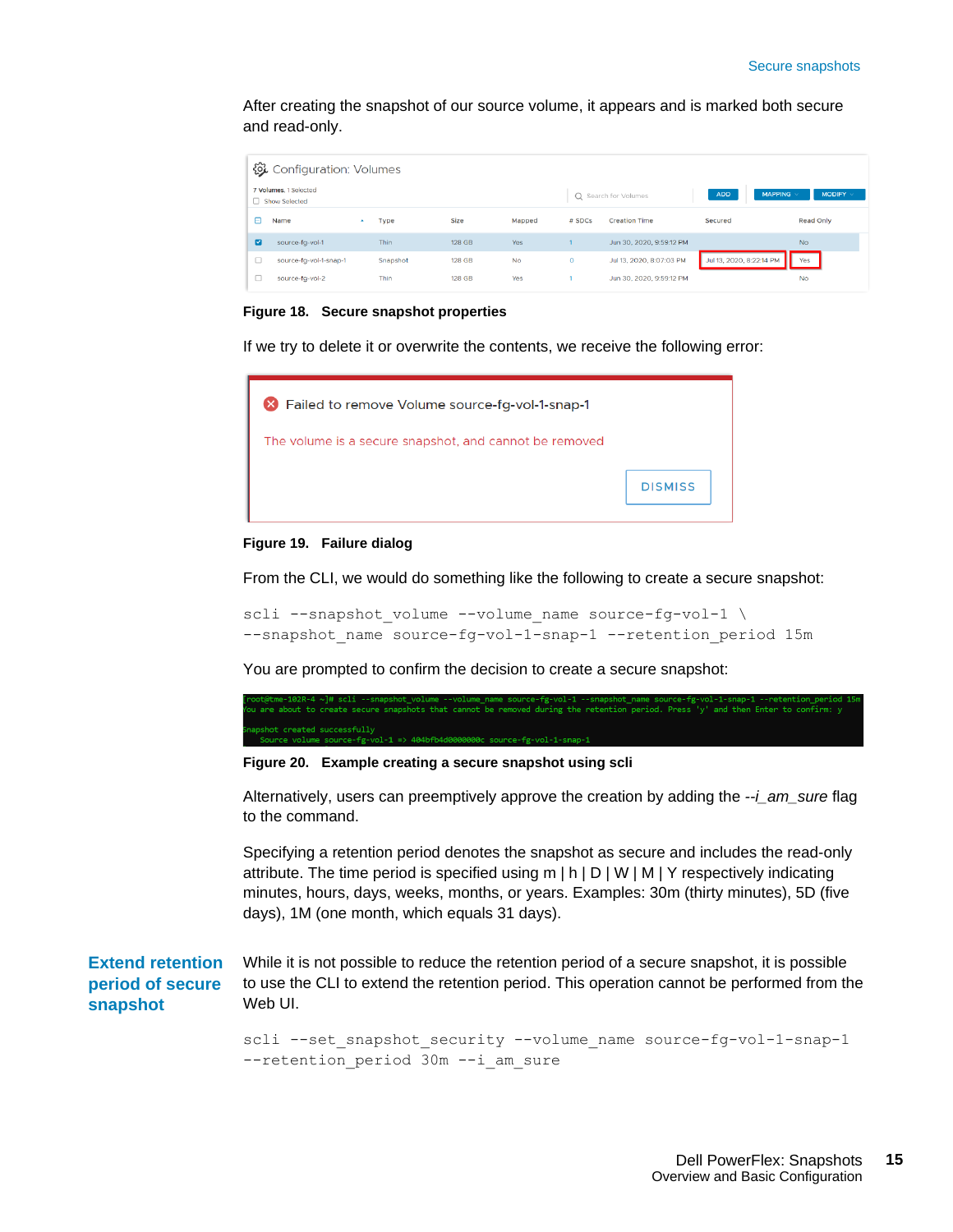After creating the snapshot of our source volume, it appears and is marked both secure and read-only.

| 後 Configuration: Volumes |                                        |          |               |           |         |                          |                              |                  |
|--------------------------|----------------------------------------|----------|---------------|-----------|---------|--------------------------|------------------------------|------------------|
|                          | 7 Volumes, 1 Selected<br>Show Selected |          |               |           |         | Q Search for Volumes     | <b>ADD</b><br><b>MAPPING</b> | MODIFY $\vee$    |
|                          | Name<br>$\Delta$                       | Type     | Size          | Mapped    | # SDCs  | <b>Creation Time</b>     | Secured                      | <b>Read Only</b> |
| ☑                        | source-fa-vol-1                        | Thin     | <b>128 GB</b> | Yes       |         | Jun 30, 2020, 9:59:12 PM |                              | <b>No</b>        |
|                          | source-fg-vol-1-snap-1                 | Snapshot | 128 GB        | <b>No</b> | $\circ$ | Jul 13, 2020, 8:07:03 PM | Jul 13, 2020, 8:22:14 PM     | Yes              |
|                          | source-fa-vol-2                        | Thin     | 128 GB        | Yes       |         | Jun 30, 2020, 9:59:12 PM |                              | <b>No</b>        |

#### **Figure 18. Secure snapshot properties**

If we try to delete it or overwrite the contents, we receive the following error:



#### **Figure 19. Failure dialog**

From the CLI, we would do something like the following to create a secure snapshot:

scli --snapshot volume --volume name source-fg-vol-1 \ --snapshot name source-fg-vol-1-snap-1 --retention period 15m

You are prompted to confirm the decision to create a secure snapshot:

-102R-4 ~J# scli --snapshot\_volume --volume\_name source-fg-vol-1 --snapshot\_name source-fg-vol-1-snap-1 --retention\_perio<br>bout to create secure snapshots that cannot be removed during the retention period. Press 'y' and t hot created successfully<br>iource volume source-fg-vol-1 => 404bfb4d0000000c source-fg-vol-1-sr

**Figure 20. Example creating a secure snapshot using scli**

Alternatively, users can preemptively approve the creation by adding the *--i\_am\_sure* flag to the command.

Specifying a retention period denotes the snapshot as secure and includes the read-only attribute. The time period is specified using m | h | D | W | M | Y respectively indicating minutes, hours, days, weeks, months, or years. Examples: 30m (thirty minutes), 5D (five days), 1M (one month, which equals 31 days).

While it is not possible to reduce the retention period of a secure snapshot, it is possible to use the CLI to extend the retention period. This operation cannot be performed from the Web UI. **Extend retention period of secure snapshot**

> scli --set snapshot security --volume name source-fg-vol-1-snap-1 --retention\_period 30m --i\_am\_sure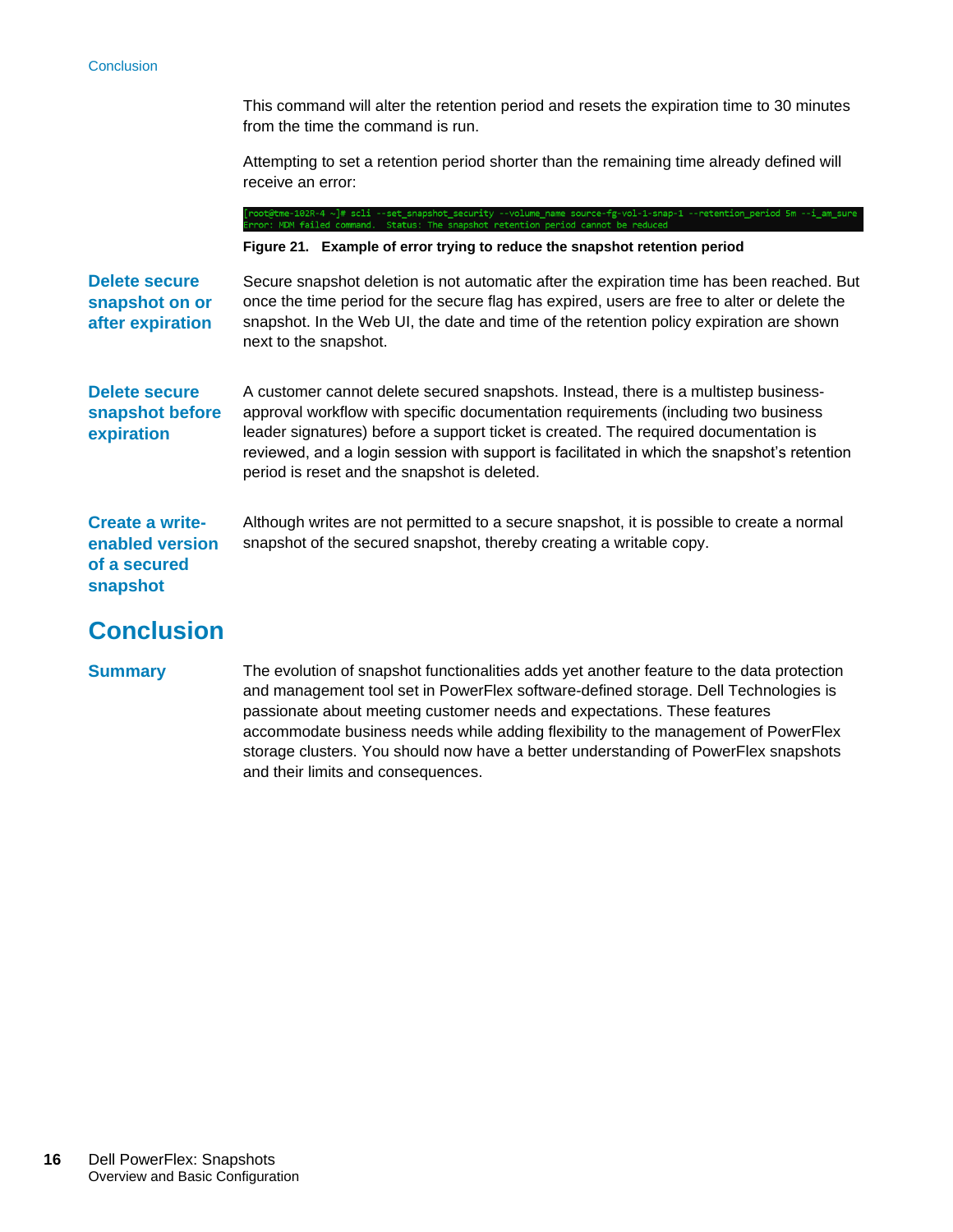#### **Conclusion**

This command will alter the retention period and resets the expiration time to 30 minutes from the time the command is run.

Attempting to set a retention period shorter than the remaining time already defined will receive an error:

t@tme-102R-4 ~]# scli --set\_snapshot\_security<br>r: MDM failed command. Status: The snapshot -1 --retention\_period 5m --i\_am\_su

**Figure 21. Example of error trying to reduce the snapshot retention period**

| Delete secure<br>snapshot on or<br>after expiration                   | Secure snapshot deletion is not automatic after the expiration time has been reached. But<br>once the time period for the secure flag has expired, users are free to alter or delete the<br>snapshot. In the Web UI, the date and time of the retention policy expiration are shown<br>next to the snapshot.                                                                                                     |
|-----------------------------------------------------------------------|------------------------------------------------------------------------------------------------------------------------------------------------------------------------------------------------------------------------------------------------------------------------------------------------------------------------------------------------------------------------------------------------------------------|
| <b>Delete secure</b><br>snapshot before<br>expiration                 | A customer cannot delete secured snapshots. Instead, there is a multistep business-<br>approval workflow with specific documentation requirements (including two business<br>leader signatures) before a support ticket is created. The required documentation is<br>reviewed, and a login session with support is facilitated in which the snapshot's retention<br>period is reset and the snapshot is deleted. |
| <b>Create a write-</b><br>enabled version<br>of a secured<br>snapshot | Although writes are not permitted to a secure snapshot, it is possible to create a normal<br>snapshot of the secured snapshot, thereby creating a writable copy.                                                                                                                                                                                                                                                 |
| <b>Conclusion</b>                                                     |                                                                                                                                                                                                                                                                                                                                                                                                                  |

#### <span id="page-15-0"></span>**Summary**

The evolution of snapshot functionalities adds yet another feature to the data protection and management tool set in PowerFlex software-defined storage. Dell Technologies is passionate about meeting customer needs and expectations. These features accommodate business needs while adding flexibility to the management of PowerFlex storage clusters. You should now have a better understanding of PowerFlex snapshots and their limits and consequences.